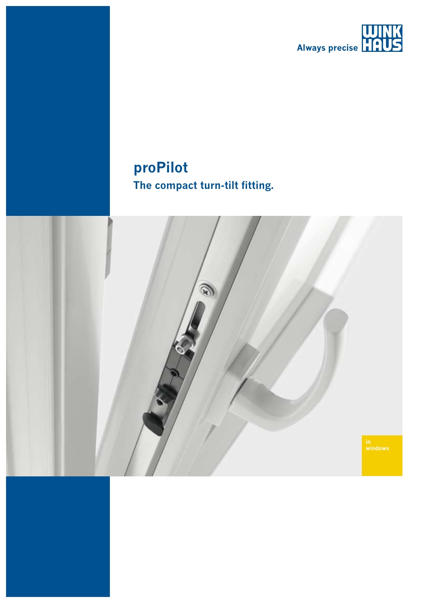

# proPilot The compact turn-tilt fitting.

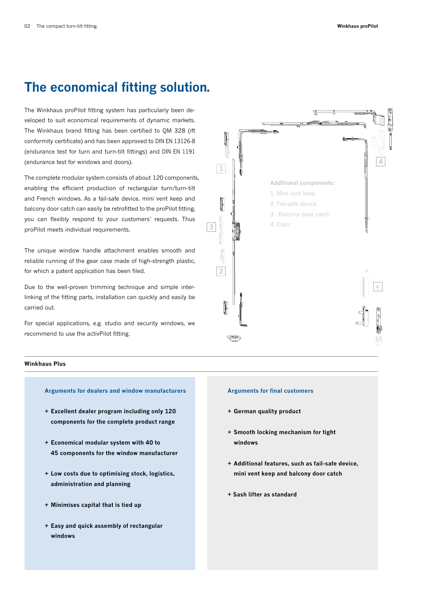# **The economical fitting solution.**

The Winkhaus proPilot fitting system has particularly been developed to suit economical requirements of dynamic markets. The Winkhaus brand fitting has been certified to QM 328 (ift conformity certificate) and has been approved to DIN EN 13126-8 (endurance test for turn and turn-tilt fittings) and DIN EN 1191 (endurance test for windows and doors).

The complete modular system consists of about 120 components, enabling the efficient production of rectangular turn/turn-tilt and French windows. As a fail-safe device, mini vent keep and balcony door catch can easily be retrofitted to the proPilot fitting, you can flexibly respond to your customers' requests. Thus proPilot meets individual requirements.

The unique window handle attachment enables smooth and reliable running of the gear case made of high-strength plastic, for which a patent application has been filed.

Due to the well-proven trimming technique and simple interlinking of the fitting parts, installation can quickly and easily be carried out.

For special applications, e.g. studio and security windows, we recommend to use the activPilot fitting.



### **Winkhaus Plus**

### **Arguments for dealers and window manufacturers**

- **+ Excellent dealer program including only 120 components for the complete product range**
- **+ Economical modular system with 40 to 45 components for the window manufacturer**
- **+ Low costs due to optimising stock, logistics, administration and planning**
- **+ Minimises capital that is tied up**
- **+ Easy and quick assembly of rectangular windows**

#### **Arguments for final customers**

- **+ German quality product**
- **+ Smooth locking mechanism for tight windows**
- **+ Additional features, such as fail-safe device, mini vent keep and balcony door catch**
- **+ Sash lifter as standard**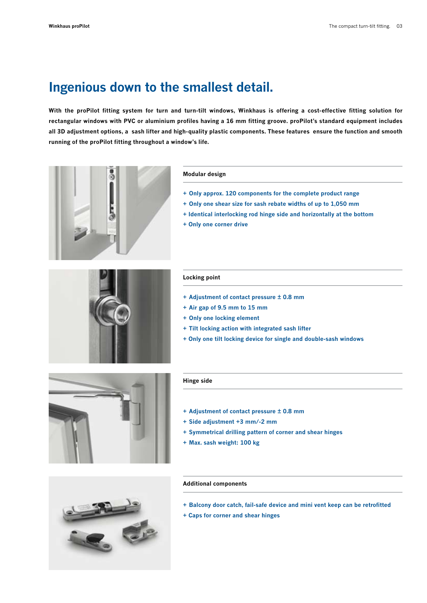## **Ingenious down to the smallest detail.**

**With the proPilot fitting system for turn and turn-tilt windows, Winkhaus is offering a cost-effective fitting solution for rectangular windows with PVC or aluminium profiles having a 16 mm fitting groove. proPilot's standard equipment includes all 3D adjustment options, a sash lifter and high-quality plastic components. These features ensure the function and smooth running of the proPilot fitting throughout a window's life.**



#### **Modular design**

- **+ Only approx. 120 components for the complete product range**
- **+ Only one shear size for sash rebate widths of up to 1,050 mm**
- **+ Identical interlocking rod hinge side and horizontally at the bottom**
- **+ Only one corner drive**



### **Locking point**

- **+ Adjustment of contact pressure ± 0.8 mm**
- **+ Air gap of 9.5 mm to 15 mm**
- **+ Only one locking element**
- **+ Tilt locking action with integrated sash lifter**
- **+ Only one tilt locking device for single and double-sash windows**



### **Hinge side**

- **+ Adjustment of contact pressure ± 0.8 mm**
- **+ Side adjustment +3 mm/-2 mm**
- **+ Symmetrical drilling pattern of corner and shear hinges**
- **+ Max. sash weight: 100 kg**

### **Additional components**

- **+ Balcony door catch, fail-safe device and mini vent keep can be retrofitted**
- **+ Caps for corner and shear hinges**